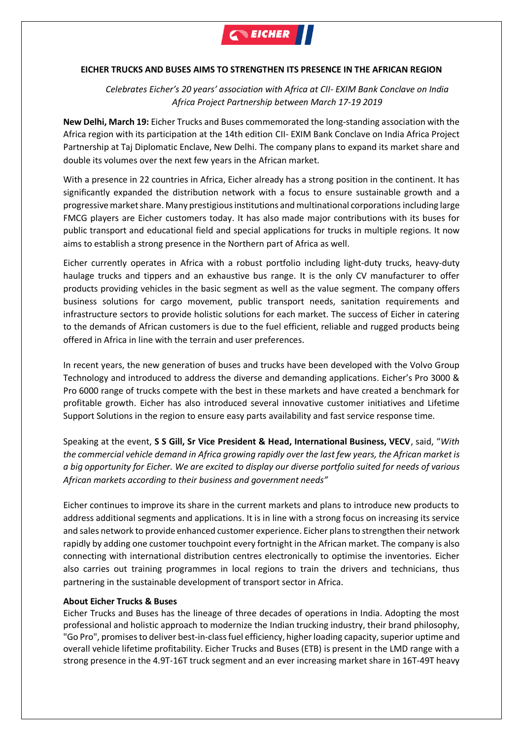

## **EICHER TRUCKS AND BUSES AIMS TO STRENGTHEN ITS PRESENCE IN THE AFRICAN REGION**

*Celebrates Eicher's 20 years' association with Africa at CII- EXIM Bank Conclave on India Africa Project Partnership between March 17-19 2019*

**New Delhi, March 19:** Eicher Trucks and Buses commemorated the long-standing association with the Africa region with its participation at the 14th edition CII- EXIM Bank Conclave on India Africa Project Partnership at Taj Diplomatic Enclave, New Delhi. The company plans to expand its market share and double its volumes over the next few years in the African market.

With a presence in 22 countries in Africa, Eicher already has a strong position in the continent. It has significantly expanded the distribution network with a focus to ensure sustainable growth and a progressive market share. Many prestigious institutions and multinational corporations including large FMCG players are Eicher customers today. It has also made major contributions with its buses for public transport and educational field and special applications for trucks in multiple regions. It now aims to establish a strong presence in the Northern part of Africa as well.

Eicher currently operates in Africa with a robust portfolio including light-duty trucks, heavy-duty haulage trucks and tippers and an exhaustive bus range. It is the only CV manufacturer to offer products providing vehicles in the basic segment as well as the value segment. The company offers business solutions for cargo movement, public transport needs, sanitation requirements and infrastructure sectors to provide holistic solutions for each market. The success of Eicher in catering to the demands of African customers is due to the fuel efficient, reliable and rugged products being offered in Africa in line with the terrain and user preferences.

In recent years, the new generation of buses and trucks have been developed with the Volvo Group Technology and introduced to address the diverse and demanding applications. Eicher's Pro 3000 & Pro 6000 range of trucks compete with the best in these markets and have created a benchmark for profitable growth. Eicher has also introduced several innovative customer initiatives and Lifetime Support Solutions in the region to ensure easy parts availability and fast service response time.

Speaking at the event, **S S Gill, Sr Vice President & Head, International Business, VECV**, said, "*With the commercial vehicle demand in Africa growing rapidly over the last few years, the African market is a big opportunity for Eicher. We are excited to display our diverse portfolio suited for needs of various African markets according to their business and government needs"*

Eicher continues to improve its share in the current markets and plans to introduce new products to address additional segments and applications. It is in line with a strong focus on increasing its service and sales network to provide enhanced customer experience. Eicher plans to strengthen their network rapidly by adding one customer touchpoint every fortnight in the African market. The company is also connecting with international distribution centres electronically to optimise the inventories. Eicher also carries out training programmes in local regions to train the drivers and technicians, thus partnering in the sustainable development of transport sector in Africa.

## **About Eicher Trucks & Buses**

Eicher Trucks and Buses has the lineage of three decades of operations in India. Adopting the most professional and holistic approach to modernize the Indian trucking industry, their brand philosophy, "Go Pro", promises to deliver best-in-class fuel efficiency, higher loading capacity, superior uptime and overall vehicle lifetime profitability. Eicher Trucks and Buses (ETB) is present in the LMD range with a strong presence in the 4.9T-16T truck segment and an ever increasing market share in 16T-49T heavy